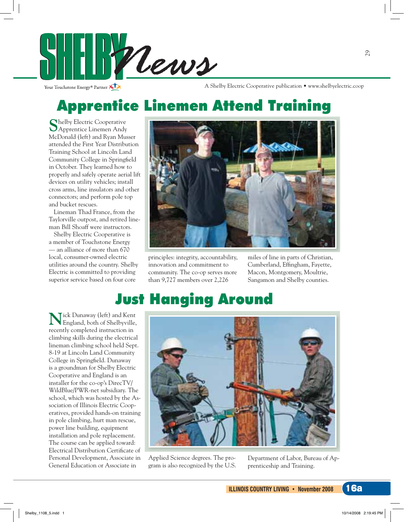

A Shelby Electric Cooperative publication • www.shelbyelectric.coop

## **Apprentice Linemen Attend Training**

Shelby Electric Cooperative<br>SApprentice Linemen Andy McDonald (left) and Ryan Musser attended the First Year Distribution Training School at Lincoln Land Community College in Springfield in October. They learned how to properly and safely operate aerial lift devices on utility vehicles; install cross arms, line insulators and other connectors; and perform pole top and bucket rescues.

Lineman Thad France, from the Taylorville outpost, and retired lineman Bill Shoaff were instructors.

Shelby Electric Cooperative is a member of Touchstone Energy - an alliance of more than 670 local, consumer-owned electric utilities around the country. Shelby Electric is committed to providing superior service based on four core



principles: integrity, accountability, innovation and commitment to community. The co-op serves more than 9,727 members over 2,226

miles of line in parts of Christian, Cumberland, Effingham, Fayette, Macon, Montgomery, Moultrie, Sangamon and Shelby counties.

### **Just Hanging Around**

Tick Dunaway (left) and Kent England, both of Shelbyville, recently completed instruction in climbing skills during the electrical lineman climbing school held Sept. 8-19 at Lincoln Land Community College in Springfield. Dunaway is a groundman for Shelby Electric Cooperative and England is an installer for the co-op's DirecTV/ WildBlue/PWR-net subsidiary. The school, which was hosted by the Association of Illinois Electric Cooperatives, provided hands-on training in pole climbing, hurt man rescue, power line building, equipment installation and pole replacement. The course can be applied toward: Electrical Distribution Certificate of Personal Development, Associate in General Education or Associate in



Applied Science degrees. The program is also recognized by the U.S. Department of Labor, Bureau of Apprenticeship and Training.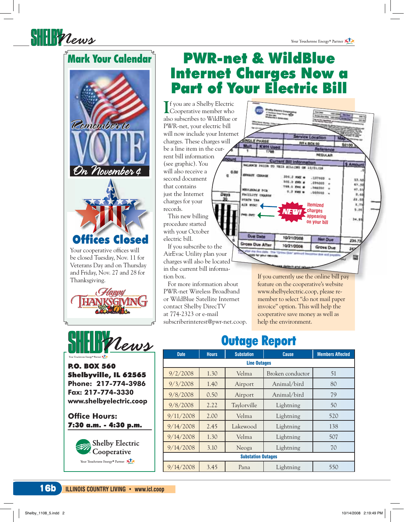#### **Mark Your Calendar**

SHERPlews





**P.O. BOX 560** Shelbyville, IL 62565 Phone: 217-774-3986 Fax: 217-774-3330 www.shelbyelectric.coop

**Office Hours:** 7:30 a.m. - 4:30 p.m.



### **PWR-net & WildBlue Internet Charges Now a Part of Your Electric Bill**

**T** f you are a Shelby Electric Cooperative member who also subscribes to WildBlue or PWR-net, your electric bill will now include your Internet charges. These charges will be a line item in the current bill information (see graphic). You will also receive a second document that contains just the Internet charges for your records.

This new billing procedure started with your October electric bill.

If you subscribe to the AirEvac Utility plan your charges will also be located in the current bill information box.

For more information about PWR-net Wireless Broadband or WildBlue Satellite Internet contact Shelby DirecTV at 774-2323 or e-mail subscriberinterest@pwr-net.coop.



If you currently use the online bill pay feature on the cooperative's website www.shelbyelectric.coop, please remember to select "do not mail paper invoice" option. This will help the cooperative save money as well as help the environment.

#### **Outage Report**

| <b>Date</b>               | <b>Hours</b> | <b>Substation</b> | <b>Cause</b>     | <b>Members Affected</b> |
|---------------------------|--------------|-------------------|------------------|-------------------------|
| <b>Line Outages</b>       |              |                   |                  |                         |
| 9/2/2008                  | 1.30         | Velma             | Broken conductor | 51                      |
| 9/3/2008                  | 1.40         | Airport           | Animal/bird      | 80                      |
| 9/8/2008                  | 0.50         | Airport           | Animal/bird      | 79                      |
| 9/8/2008                  | 2.22         | Taylorville       | Lightning        | 50                      |
| 9/11/2008                 | 2.00         | Velma             | Lightning        | 520                     |
| 9/14/2008                 | 2.45         | Lakewood          | Lightning        | 138                     |
| 9/14/2008                 | 1.30         | Velma             | Lightning        | 507                     |
| 9/14/2008                 | 3.10         | Neoga             | Lightning        | 70                      |
| <b>Substation Outages</b> |              |                   |                  |                         |
| 9/14/2008                 | 3.45         | Pana              | Lightning        | 550                     |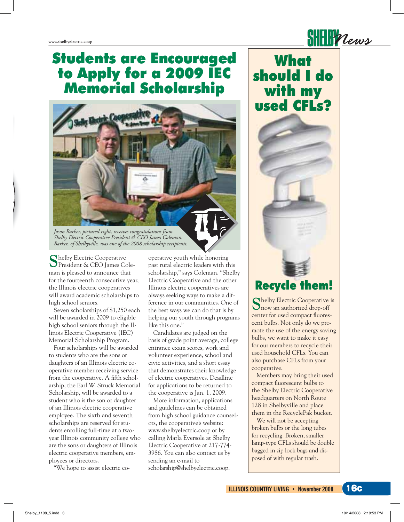#### **Students are Encouraged** to Apply for a 2009 IEC **Memorial Scholarship**



Jason Barker, pictured right, receives congratulations from Shelby Electric Cooperative President & CEO James Coleman. Barker, of Shelbyville, was one of the 2008 scholarship recipients.

Thelby Electric Cooperative President & CEO James Coleman is pleased to announce that for the fourteenth consecutive year, the Illinois electric cooperatives will award academic scholarships to high school seniors.

Seven scholarships of \$1,250 each will be awarded in 2009 to eligible high school seniors through the Illinois Electric Cooperative (IEC) Memorial Scholarship Program.

Four scholarships will be awarded to students who are the sons or daughters of an Illinois electric cooperative member receiving service from the cooperative. A fifth scholarship, the Earl W. Struck Memorial Scholarship, will be awarded to a student who is the son or daughter of an Illinois electric cooperative employee. The sixth and seventh scholarships are reserved for students enrolling full-time at a twoyear Illinois community college who are the sons or daughters of Illinois electric cooperative members, employees or directors.

"We hope to assist electric co-

operative youth while honoring past rural electric leaders with this scholarship," says Coleman. "Shelby Electric Cooperative and the other Illinois electric cooperatives are always seeking ways to make a difference in our communities. One of the best ways we can do that is by helping our youth through programs like this one."

Candidates are judged on the basis of grade point average, college entrance exam scores, work and volunteer experience, school and civic activities, and a short essay that demonstrates their knowledge of electric cooperatives. Deadline for applications to be returned to the cooperative is Jan. 1, 2009.

More information, applications and guidelines can be obtained from high school guidance counselors, the cooperative's website: www.shelbyelectric.coop or by calling Marla Eversole at Shelby Electric Cooperative at 217-774-3986. You can also contact us by sending an e-mail to scholarship@shelbyelectric.coop.



 $\frac{1}{2}$ 

#### **Recycle them!**

Chelby Electric Cooperative is now an authorized drop-off center for used compact fluorescent bulbs. Not only do we promote the use of the energy saving bulbs, we want to make it easy for our members to recycle their used household CFLs. You can also purchase CFLs from your cooperative.

Members may bring their used compact fluorescent bulbs to the Shelby Electric Cooperative headquarters on North Route 128 in Shelbyville and place them in the RecyclePak bucket.

We will not be accepting broken bulbs or the long tubes for recycling. Broken, smaller lamp-type CFLs should be double bagged in zip lock bags and disposed of with regular trash.

**16c**